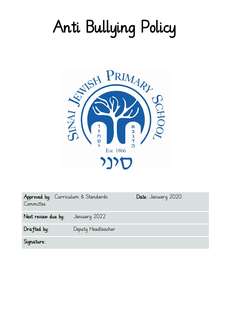# Anti Bullying Policy



| Approved by: Curriculum & Standards<br>Committee |                    | Date: January 2020 |
|--------------------------------------------------|--------------------|--------------------|
| Next review due by:                              | January 2022       |                    |
| $Draffed$ by:                                    | Deputy Headteacher |                    |
| Signature:                                       |                    |                    |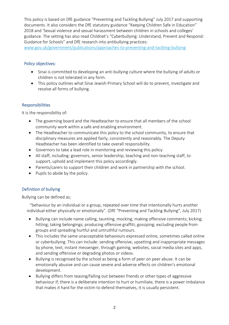This policy is based on DfE guidance "Preventing and Tackling Bullying" July 2017 and supporting documents. It also considers the DfE statutory guidance "Keeping Children Safe in Education" 2018 and 'Sexual violence and sexual harassment between children in schools and colleges' guidance. The setting has also read Childnet's "Cyberbullying: Understand, Prevent and Respond: Guidance for Schools" and DfE research into antibullying practices:

[www.gov.uk/government/publications/approaches-to-preventing-and-tackling-bullying](http://www.gov.uk/government/publications/approaches-to-preventing-and-tackling-bullying)

## Policy objectives:

- Sinai is committed to developing an anti-bullying culture where the bullying of adults or children is not tolerated in any form.
- This policy outlines what Sinai Jewish Primary School will do to prevent, investigate and resolve all forms of bullying.

## **Responsibilities**

It is the responsibility of:

- The governing board and the Headteacher to ensure that all members of the school community work within a safe and enabling environment.
- The Headteacher to communicate this policy to the school community, to ensure that disciplinary measures are applied fairly, consistently and reasonably. The Deputy Headteacher has been identified to take overall responsibility.
- Governors to take a lead role in monitoring and reviewing this policy.
- All staff, including: governors, senior leadership, teaching and non-teaching staff, to support, uphold and implement this policy accordingly.
- Parents/carers to support their children and work in partnership with the school.
- $\bullet$  Pupils to abide by the policy.

## Definition of bullying

Bullying can be defined as;

"behaviour by an individual or a group, repeated over time that intentionally hurts another individual either physically or emotionally". (DfE "Preventing and Tackling Bullying", July 2017)

- Bullying can include name calling, taunting, mocking, making offensive comments; kicking; hitting; taking belongings; producing offensive graffiti; gossiping; excluding people from groups and spreading hurtful and untruthful rumours.
- This includes the same unacceptable behaviours expressed online, sometimes called online or cyberbullying. This can include: sending offensive, upsetting and inappropriate messages by phone, text, instant messenger, through gaming, websites, social media sites and apps, and sending offensive or degrading photos or videos.
- Bullying is recognised by the school as being a form of peer on peer abuse. It can be emotionally abusive and can cause severe and adverse effects on children's emotional development.
- Bullying differs from teasing/falling out between friends or other types of aggressive behaviour if; there is a deliberate intention to hurt or humiliate, there is a power imbalance that makes it hard for the victim to defend themselves, it is usually persistent.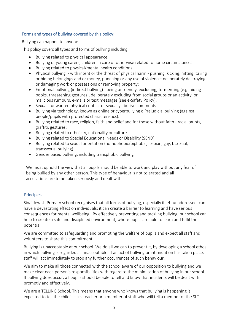## Forms and types of bullying covered by this policy:

Bullying can happen to anyone.

This policy covers all types and forms of bullying including:

- Bullying related to physical appearance
- Bullying of young carers, children in care or otherwise related to home circumstances
- Bullying related to physical/mental health conditions
- Physical bullying with intent or the threat of physical harm pushing, kicking, hitting, taking or hiding belongings and or money, punching or any use of violence; deliberately destroying or damaging work or possessions or removing property;
- Emotional bullying (indirect bullying) being unfriendly, excluding, tormenting (e.g. hiding books, threatening gestures), deliberately excluding from social groups or an activity, or malicious rumours, e-mails or text messages (see e-Safety Policy).
- Sexual unwanted physical contact or sexually abusive comments
- Bullying via technology, known as online or cyberbullying o Prejudicial bullying (against people/pupils with protected characteristics):
- Bullying related to race, religion, faith and belief and for those without faith racial taunts, graffiti, gestures;
- Bullying related to ethnicity, nationality or culture
- Bullying related to Special Educational Needs or Disability (SEND)
- Bullying related to sexual orientation (homophobic/biphobic, lesbian, gay, bisexual, transsexual bullying)
- Gender based bullying, including transphobic bullying

We must uphold the view that all pupils should be able to work and play without any fear of being bullied by any other person. This type of behaviour is not tolerated and all accusations are to be taken seriously and dealt with.

## **Principles**

Sinai Jewish Primary school recognises that all forms of bullying, especially if left unaddressed, can have a devastating effect on individuals; it can create a barrier to learning and have serious consequences for mental wellbeing. By effectively preventing and tackling bullying, our school can help to create a safe and disciplined environment, where pupils are able to learn and fulfil their potential.

We are committed to safeguarding and promoting the welfare of pupils and expect all staff and volunteers to share this commitment.

Bullying is unacceptable at our school. We do all we can to prevent it, by developing a school ethos in which bullying is regarded as unacceptable. If an act of bullying or intimidation has taken place, staff will act immediately to stop any further occurrences of such behaviour.

We aim to make all those connected with the school aware of our opposition to bullying and we make clear each person's responsibilities with regard to the minimisation of bullying in our school. If bullying does occur, all pupils should be able to tell and know that incidents will be dealt with promptly and effectively.

We are a TELLING School. This means that anyone who knows that bullying is happening is expected to tell the child's class teacher or a member of staff who will tell a member of the SLT.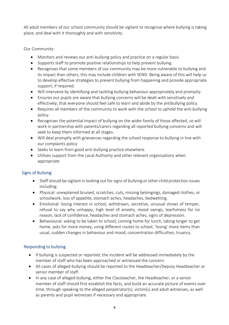All adult members of our school community should be vigilant to recognise where bullying is taking place, and deal with it thoroughly and with sensitivity.

Our Community:

- Monitors and reviews our anti-bullying policy and practice on a regular basis.
- Supports staff to promote positive relationships to help prevent bullying.
- Recognises that some members of our community may be more vulnerable to bullying and its impact than others; this may include children with SEND. Being aware of this will help us to develop effective strategies to prevent bullying from happening and provide appropriate support, if required.
- Will intervene by identifying and tackling bullying behaviour appropriately and promptly.
- Ensures our pupils are aware that bullying concerns will be dealt with sensitively and effectively; that everyone should feel safe to learn and abide by the antibullying policy.
- Requires all members of the community to work with the school to uphold the anti-bullying policy.
- Recognises the potential impact of bullying on the wider family of those affected, so will work in partnership with parents/carers regarding all reported bullying concerns and will seek to keep them informed at all stages.
- Will deal promptly with grievances regarding the school response to bullying in line with our complaints policy
- Seeks to learn from good anti-bullying practice elsewhere.
- Utilises support from the Local Authority and other relevant organisations when appropriate

# Signs of Bullying

- Staff should be vigilant in looking out for signs of bullying or other child protection issues including:
- Physical: unexplained bruised, scratches, cuts, missing belongings, damaged clothes, or schoolwork, loss of appetite, stomach aches, headaches, bedwetting.
- Emotional: losing interest in school, withdrawn, secretive, unusual shows of temper, refusal to say why unhappy, high level of anxiety, mood swings, tearfulness for no reason, lack of confidence, headaches and stomach aches, signs of depression.
- Behavioural: asking to be taken to school, coming home for lunch, taking longer to get home, asks for more money, using different routes to school, 'losing' more items than usual, sudden changes in behaviour and mood, concentration difficulties, truancy.

# Responding to bullying

- If bullying is suspected or reported, the incident will be addressed immediately by the member of staff who has been approached or witnessed the concern.
- All cases of alleged bullying should be reported to the Headteacher/Deputy Headteacher or senior member of staff.
- In any case of alleged bullying, either the Classteacher, the Headteacher, or a senior member of staff should first establish the facts, and build an accurate picture of events over time, through speaking to the alleged perpetrator(s), victim(s) and adult witnesses, as well as parents and pupil witnesses if necessary and appropriate.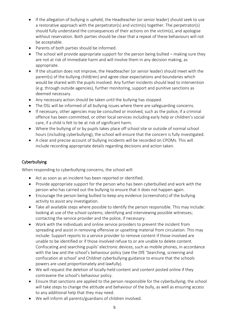- If the allegation of bullying is upheld, the Headteacher (or senior leader) should seek to use a restorative approach with the perpetrator(s) and victim(s) together. The perpetrator(s) should fully understand the consequences of their actions on the victim(s), and apologise without reservation. Both parties should be clear that a repeat of these behaviours will not be acceptable.
- Parents of both parties should be informed.
- The school will provide appropriate support for the person being bullied making sure they are not at risk of immediate harm and will involve them in any decision making, as appropriate.
- If the situation does not improve, the Headteacher (or senior leader) should meet with the parent(s) of the bullying child(ren) and agree clear expectations and boundaries which would be shared with the pupils involved. Any further incidents should lead to intervention (e.g. through outside agencies), further monitoring, support and punitive sanctions as deemed necessary.
- Any necessary action should be taken until the bullying has stopped.
- The DSL will be informed of all bullying issues where there are safeguarding concerns.
- If necessary, other agencies may be consulted or involved, such as the police, if a criminal offence has been committed, or other local services including early help or children's social care, if a child is felt to be at risk of significant harm.
- Where the bullying of or by pupils takes place off school site or outside of normal school hours (including cyberbullying), the school will ensure that the concern is fully investigated.
- A clear and precise account of bullying incidents will be recorded on CPOMs. This will include recording appropriate details regarding decisions and action taken.

# Cyberbullying

When responding to cyberbullying concerns, the school will:

- Act as soon as an incident has been reported or identified.
- Provide appropriate support for the person who has been cyberbullied and work with the person who has carried out the bullying to ensure that it does not happen again.
- Encourage the person being bullied to keep any evidence (screenshots) of the bullying activity to assist any investigation.
- Take all available steps where possible to identify the person responsible. This may include: looking at use of the school systems; identifying and interviewing possible witnesses; contacting the service provider and the police, if necessary.
- Work with the individuals and online service providers to prevent the incident from spreading and assist in removing offensive or upsetting material from circulation. This may include: Support reports to a service provider to remove content if those involved are unable to be identified or if those involved refuse to or are unable to delete content. Confiscating and searching pupils' electronic devices, such as mobile phones, in accordance with the law and the school's behaviour policy (see the DfE 'Searching, screening and confiscation at school' and Childnet cyberbullying guidance to ensure that the schools powers are used proportionately and lawfully).
- We will request the deletion of locally-held content and content posted online if they contravene the school's behaviour policy.
- Ensure that sanctions are applied to the person responsible for the cyberbullying; the school will take steps to change the attitude and behaviour of the bully, as well as ensuring access to any additional help that they may need.
- We will inform all parents/guardians of children involved.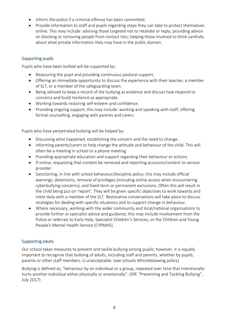- Inform the police if a criminal offence has been committed.
- Provide information to staff and pupils regarding steps they can take to protect themselves online. This may include: advising those targeted not to retaliate or reply; providing advice on blocking or removing people from contact lists; helping those involved to think carefully about what private information they may have in the public domain.

# Supporting pupils

Pupils who have been bullied will be supported by:

- Reassuring the pupil and providing continuous pastoral support.
- Offering an immediate opportunity to discuss the experience with their teacher, a member of SLT, or a member of the safeguarding team.
- Being advised to keep a record of the bullying as evidence and discuss how respond to concerns and build resilience as appropriate.
- Working towards restoring self-esteem and confidence.
- Providing ongoing support; this may include: working and speaking with staff, offering formal counselling, engaging with parents and carers.

Pupils who have perpetrated bullying will be helped by:

- Discussing what happened, establishing the concern and the need to change.
- Informing parents/carers to help change the attitude and behaviour of the child. This will often be a meeting in school or a phone meeting.
- Providing appropriate education and support regarding their behaviour or actions.
- If online, requesting that content be removed and reporting accounts/content to service provider.
- Sanctioning, in line with school behaviour/discipline policy; this may include official warnings, detentions, removal of privileges (including online access when encountering cyberbullying concerns), and fixed-term or permanent exclusions. Often this will result in the child being put on 'report'. They will be given specific objectives to work towards and meet daily with a member of the SLT. Restorative conversations will take place to discuss strategies for dealing with specific situations and to support change in behaviour.
- Where necessary, working with the wider community and local/national organisations to provide further or specialist advice and guidance; this may include involvement from the Police or referrals to Early Help, Specialist Children's Services, or the Children and Young People's Mental Health Service (CYPMHS).

## Supporting adults

Our school takes measures to prevent and tackle bullying among pupils; however, it is equally important to recognise that bullying of adults, including staff and parents, whether by pupils, parents or other staff members, is unacceptable. (see schools Whistleblowing policy)

Bullying is defined as; "behaviour by an individual or a group, repeated over time that intentionally hurts another individual either physically or emotionally". (DfE "Preventing and Tackling Bullying", July 2017)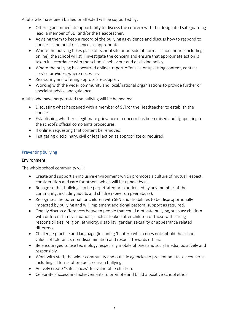Adults who have been bullied or affected will be supported by:

- Offering an immediate opportunity to discuss the concern with the designated safeguarding lead, a member of SLT and/or the Headteacher.
- Advising them to keep a record of the bullying as evidence and discuss how to respond to concerns and build resilience, as appropriate.
- Where the bullying takes place off school site or outside of normal school hours (including online), the school will still investigate the concern and ensure that appropriate action is taken in accordance with the schools' behaviour and discipline policy.
- Where the bullying has occurred online; report offensive or upsetting content, contact service providers where necessary.
- Reassuring and offering appropriate support.
- Working with the wider community and local/national organisations to provide further or specialist advice and guidance.

Adults who have perpetrated the bullying will be helped by:

- Discussing what happened with a member of SLT/or the Headteacher to establish the concern.
- Establishing whether a legitimate grievance or concern has been raised and signposting to the school's official complaints procedures.
- If online, requesting that content be removed.
- Instigating disciplinary, civil or legal action as appropriate or required.

## Preventing bullying

#### Environment

The whole school community will:

- Create and support an inclusive environment which promotes a culture of mutual respect, consideration and care for others, which will be upheld by all.
- Recognise that bullying can be perpetrated or experienced by any member of the community, including adults and children (peer on peer abuse).
- Recognises the potential for children with SEN and disabilities to be disproportionally impacted by bullying and will implement additional pastoral support as required.
- Openly discuss differences between people that could motivate bullying, such as: children with different family situations, such as looked after children or those with caring responsibilities, religion, ethnicity, disability, gender, sexuality or appearance related difference.
- Challenge practice and language (including 'banter') which does not uphold the school values of tolerance, non-discrimination and respect towards others.
- Be encouraged to use technology, especially mobile phones and social media, positively and responsibly.
- Work with staff, the wider community and outside agencies to prevent and tackle concerns including all forms of prejudice-driven bullying.
- Actively create "safe spaces" for vulnerable children.
- Celebrate success and achievements to promote and build a positive school ethos.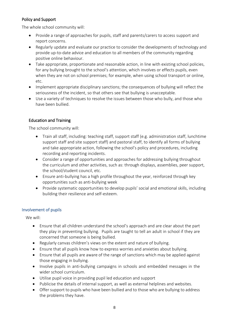# Policy and Support

The whole school community will:

- Provide a range of approaches for pupils, staff and parents/carers to access support and report concerns.
- Regularly update and evaluate our practice to consider the developments of technology and provide up-to-date advice and education to all members of the community regarding positive online behaviour.
- Take appropriate, proportionate and reasonable action, in line with existing school policies, for any bullying brought to the school's attention, which involves or effects pupils, even when they are not on school premises; for example, when using school transport or online, etc.
- Implement appropriate disciplinary sanctions; the consequences of bullying will reflect the seriousness of the incident, so that others see that bullying is unacceptable.
- Use a variety of techniques to resolve the issues between those who bully, and those who have been bullied.

# Education and Training

The school community will:

- Train all staff, including: teaching staff, support staff (e.g. administration staff, lunchtime support staff and site support staff) and pastoral staff, to identify all forms of bullying and take appropriate action, following the school's policy and procedures, including recording and reporting incidents.
- Consider a range of opportunities and approaches for addressing bullying throughout the curriculum and other activities, such as: through displays, assemblies, peer support, the school/student council, etc.
- Ensure anti-bullying has a high profile throughout the year, reinforced through key opportunities such as anti-bullying week
- Provide systematic opportunities to develop pupils' social and emotional skills, including building their resilience and self-esteem.

## Involvement of pupils

We will:

- Ensure that all children understand the school's approach and are clear about the part they play in preventing bullying. Pupils are taught to tell an adult in school if they are concerned that someone is being bullied.
- Regularly canvas children's views on the extent and nature of bullying.
- Ensure that all pupils know how to express worries and anxieties about bullying.
- Ensure that all pupils are aware of the range of sanctions which may be applied against those engaging in bullying.
- Involve pupils in anti-bullying campaigns in schools and embedded messages in the wider school curriculum.
- Utilise pupil voice in providing pupil led education and support
- Publicise the details of internal support, as well as external helplines and websites.
- Offer support to pupils who have been bullied and to those who are bullying to address the problems they have.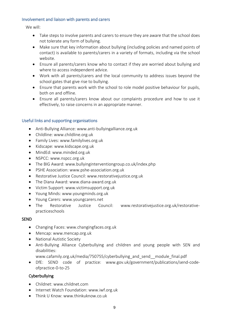#### Involvement and liaison with parents and carers

We will:

- Take steps to involve parents and carers to ensure they are aware that the school does not tolerate any form of bullying.
- Make sure that key information about bullying (including policies and named points of contact) is available to parents/carers in a variety of formats, including via the school website.
- Ensure all parents/carers know who to contact if they are worried about bullying and where to access independent advice.
- Work with all parents/carers and the local community to address issues beyond the school gates that give rise to bullying.
- Ensure that parents work with the school to role model positive behaviour for pupils, both on and offline.
- Ensure all parents/carers know about our complaints procedure and how to use it effectively, to raise concerns in an appropriate manner.

## Useful links and supporting organisations

- Anti-Bullying Alliance: www.anti-bullyingalliance.org.uk
- Childline: www.childline.org.uk
- Family Lives: www.familylives.org.uk
- Kidscape: www.kidscape.org.uk
- MindEd: www.minded.org.uk
- NSPCC: www.nspcc.org.uk
- The BIG Award: www.bullyinginterventiongroup.co.uk/index.php
- PSHE Association: www.pshe-association.org.uk
- Restorative Justice Council: www.restorativejustice.org.uk
- The Diana Award: www.diana-award.org.uk
- Victim Support: www.victimsupport.org.uk
- Young Minds: www.youngminds.org.uk
- Young Carers: www.youngcarers.net
- The Restorative Justice Council: www.restorativejustice.org.uk/restorativepracticeschools

## SEND

- Changing Faces: www.changingfaces.org.uk
- Mencap: www.mencap.org.uk
- National Autistic Society
- Anti-Bullying Alliance Cyberbullying and children and young people with SEN and disabilities:

www.cafamily.org.uk/media/750755/cyberbullying\_and\_send\_\_module\_final.pdf

 DfE: SEND code of practice: www.gov.uk/government/publications/send-codeofpractice-0-to-25

## Cyberbullying

- Childnet: www.childnet.com
- Internet Watch Foundation: www.iwf.org.uk
- Think U Know: www.thinkuknow.co.uk